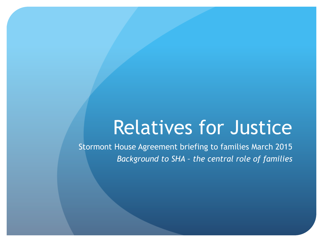# Relatives for Justice

Stormont House Agreement briefing to families March 2015 *Background to SHA – the central role of families*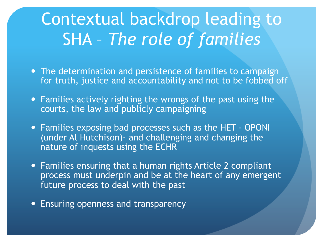### Contextual backdrop leading to SHA – *The role of families*

- The determination and persistence of families to campaign for truth, justice and accountability and not to be fobbed off
- Families actively righting the wrongs of the past using the courts, the law and publicly campaigning
- Families exposing bad processes such as the HET OPONI (under Al Hutchison)- and challenging and changing the nature of inquests using the ECHR
- Families ensuring that a human rights Article 2 compliant process must underpin and be at the heart of any emergent future process to deal with the past
- Ensuring openness and transparency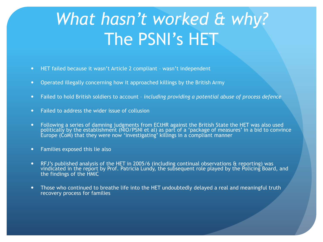### *What hasn't worked & why?*  The PSNI's HET

- HET failed because it wasn't Article 2 compliant wasn't independent
- Operated illegally concerning how it approached killings by the British Army
- Failed to hold British soldiers to account *including providing a potential abuse of process defence*
- Failed to address the wider issue of collusion
- Following a series of damning judgments from ECtHR against the British State the HET was also used politically by the establishment (NIO/PSNI et al) as part of a 'package of measures' in a bid to convince Europe (CoM) that they were now 'investigating' killings in a compliant manner
- Families exposed this lie also
- RFJ's published analysis of the HET in 2005/6 (including continual observations & reporting) was vindicated in the report by Prof. Patricia Lundy, the subsequent role played by the Policing Board, and the findings of the HMIC
- Those who continued to breathe life into the HET undoubtedly delayed a real and meaningful truth recovery process for families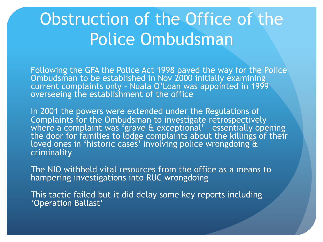### Obstruction of the Office of the Police Ombudsman

Following the GFA the Police Act 1998 paved the way for the Police Ombudsman to be established in Nov 2000 initially examining current complaints only – Nuala O'Loan was appointed in 1999 overseeing the establishment of the office

In 2001 the powers were extended under the Regulations of Complaints for the Ombudsman to investigate retrospectively where a complaint was 'grave & exceptional' – essentially opening the door for families to lodge complaints about the killings of their loved ones in 'historic cases' involving police wrongdoing & criminality

The NIO withheld vital resources from the office as a means to hampering investigations into RUC wrongdoing

This tactic failed but it did delay some key reports including 'Operation Ballast'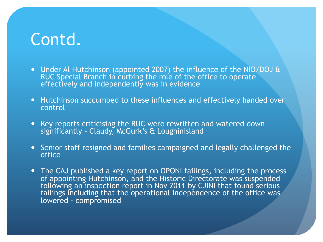- Under Al Hutchinson (appointed 2007) the influence of the NIO/DOJ & RUC Special Branch in curbing the role of the office to operate effectively and independently was in evidence
- Hutchinson succumbed to these influences and effectively handed over control
- Key reports criticising the RUC were rewritten and watered down significantly – Claudy, McGurk's & Loughinisland
- Senior staff resigned and families campaigned and legally challenged the office
- The CAJ published a key report on OPONI failings, including the process of appointing Hutchinson, and the Historic Directorate was suspended following an inspection report in Nov 2011 by CJINI that found serious failings including that the operational independence of the office was lowered - compromised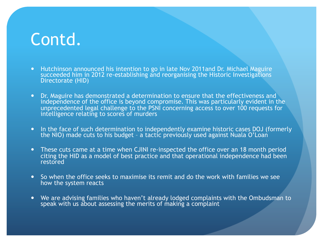- Hutchinson announced his intention to go in late Nov 2011and Dr. Michael Maguire succeeded him in 2012 re-establishing and reorganising the Historic Investigations Directorate (HID)
- Dr. Maguire has demonstrated a determination to ensure that the effectiveness and independence of the office is beyond compromise. This was particularly evident in the unprecedented legal challenge to the PSNI concerning access to over 100 requests for intelligence relating to scores of murders
- In the face of such determination to independently examine historic cases DOJ (formerly the NIO) made cuts to his budget - a tactic previously used against Nuala O'Loan
- These cuts came at a time when CJINI re-inspected the office over an 18 month period citing the HID as a model of best practice and that operational independence had been restored
- So when the office seeks to maximise its remit and do the work with families we see how the system reacts
- We are advising families who haven't already lodged complaints with the Ombudsman to speak with us about assessing the merits of making a complaint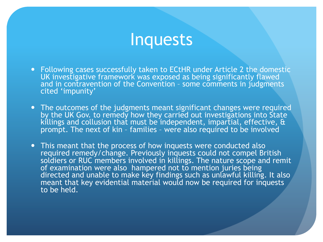#### Inquests

- Following cases successfully taken to ECtHR under Article 2 the domestic UK investigative framework was exposed as being significantly flawed and in contravention of the Convention – some comments in judgments cited 'impunity'
- The outcomes of the judgments meant significant changes were required by the UK Gov. to remedy how they carried out investigations into State killings and collusion that must be independent, impartial, effective,  $\theta$ prompt. The next of kin - families - were also required to be involved
- This meant that the process of how inquests were conducted also required remedy/change. Previously inquests could not compel British soldiers or RUC members involved in killings. The nature scope and remit of examination were also hampered not to mention juries being directed and unable to make key findings such as unlawful killing. It also meant that key evidential material would now be required for inquests to be held.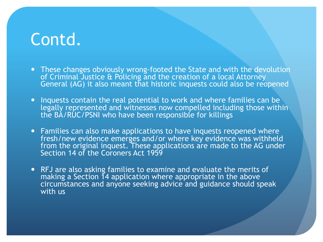- These changes obviously wrong-footed the State and with the devolution of Criminal Justice & Policing and the creation of a local Attorney General (AG) it also meant that historic inquests could also be reopened
- Inquests contain the real potential to work and where families can be legally represented and witnesses now compelled including those within the BA/RUC/PSNI who have been responsible for killings
- Families can also make applications to have inquests reopened where fresh/new evidence emerges and/or where key evidence was withheld from the original inquest. These applications are made to the AG under Section 14 of the Coroners Act 1959
- RFJ are also asking families to examine and evaluate the merits of making a Section 14 application where appropriate in the above circumstances and anyone seeking advice and guidance should speak with us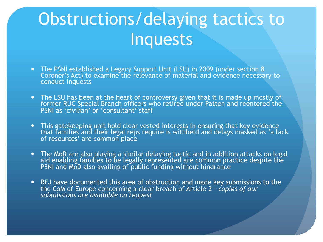## Obstructions/delaying tactics to Inquests

- The PSNI established a Legacy Support Unit (LSU) in 2009 (under section 8 Coroner's Act) to examine the relevance of material and evidence necessary to conduct inquests
- The LSU has been at the heart of controversy given that it is made up mostly of former RUC Special Branch officers who retired under Patten and reentered the PSNI as 'civilian' or 'consultant' staff
- This gatekeeping unit hold clear vested interests in ensuring that key evidence that families and their legal reps require is withheld and delays masked as 'a lack of resources' are common place
- The MoD are also playing a similar delaying tactic and in addition attacks on legal aid enabling families to be legally represented are common practice despite the PSNI and MoD also availing of public funding without hindrance
- RFJ have documented this area of obstruction and made key submissions to the the CoM of Europe concerning a clear breach of Article 2 *– copies of our submissions are available on request*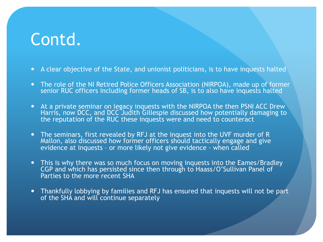- A clear objective of the State, and unionist politicians, is to have inquests halted
- The role of the NI Retired Police Officers Association (NIRPOA), made up of former senior RUC officers including former heads of SB, is to also have inquests halted
- At a private seminar on legacy inquests with the NIRPOA the then PSNI ACC Drew Harris, now DCC, and DCC Judith Gillespie discussed how potentially damaging to the reputation of the RUC these inquests were and need to counteract
- The seminars, first revealed by RFJ at the inquest into the UVF murder of R Mallon, also discussed how former officers should tactically engage and give evidence at inquests – or more likely not give evidence - when called
- This is why there was so much focus on moving inquests into the Eames/Bradley CGP and which has persisted since then through to Haass/O'Sullivan Panel of Parties to the more recent SHA
- Thankfully lobbying by families and RFJ has ensured that inquests will not be part of the SHA and will continue separately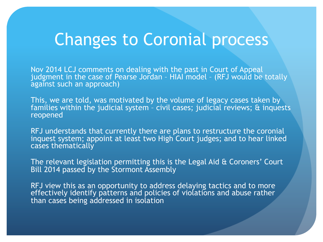### Changes to Coronial process

Nov 2014 LCJ comments on dealing with the past in Court of Appeal judgment in the case of Pearse Jordan – HIAI model – (RFJ would be totally against such an approach)

This, we are told, was motivated by the volume of legacy cases taken by families within the judicial system – civil cases; judicial reviews; & inquests reopened

RFJ understands that currently there are plans to restructure the coronial inquest system; appoint at least two High Court judges; and to hear linked cases thematically

The relevant legislation permitting this is the Legal Aid & Coroners' Court Bill 2014 passed by the Stormont Assembly

RFJ view this as an opportunity to address delaying tactics and to more effectively identify patterns and policies of violations and abuse rather than cases being addressed in isolation